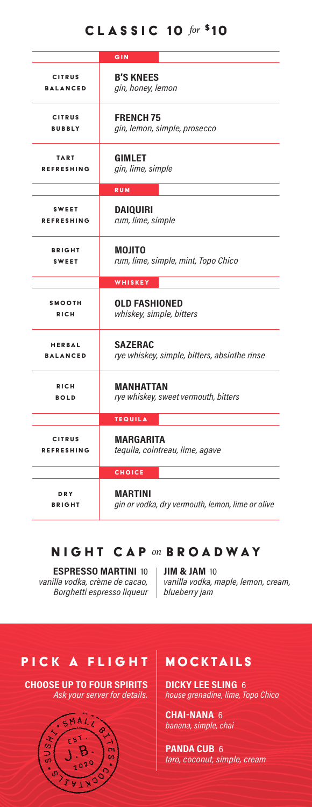# CLASSIC 10 *for* \$10

|                   | GIN                                              |
|-------------------|--------------------------------------------------|
| <b>CITRUS</b>     | <b>B'S KNEES</b>                                 |
| <b>BALANCED</b>   | gin, honey, lemon                                |
| <b>CITRUS</b>     | <b>FRENCH 75</b>                                 |
| <b>BUBBLY</b>     | gin, lemon, simple, prosecco                     |
| TART              | <b>GIMLET</b>                                    |
| <b>REFRESHING</b> | gin, lime, simple                                |
|                   | <b>RUM</b>                                       |
| <b>SWEET</b>      | <b>DAIQUIRI</b>                                  |
| <b>REFRESHING</b> | rum, lime, simple                                |
| <b>BRIGHT</b>     | MOJITO                                           |
| <b>SWEET</b>      | rum, lime, simple, mint, Topo Chico              |
|                   | WHISKEY                                          |
| <b>SMOOTH</b>     | <b>OLD FASHIONED</b>                             |
| <b>RICH</b>       | whiskey, simple, bitters                         |
| <b>HERBAL</b>     | <b>SAZERAC</b>                                   |
| <b>BALANCED</b>   | rye whiskey, simple, bitters, absinthe rinse     |
| <b>RICH</b>       | <b>MANHATTAN</b>                                 |
| <b>BOLD</b>       | rye whiskey, sweet vermouth, bitters             |
|                   | <b>TEQUILA</b>                                   |
| <b>CITRUS</b>     | MARGARITA                                        |
| <b>REFRESHING</b> | tequila, cointreau, lime, agave                  |
|                   | <b>CHOICE</b>                                    |
| <b>DRY</b>        | MARTINI                                          |
| <b>BRIGHT</b>     | gin or vodka, dry vermouth, lemon, lime or olive |

# NIGHT CAP *on* BROADWAY

### **ESPRESSO MARTINI** 10 *vanilla vodka, crème de cacao, Borghetti espresso liqueur*

**JIM & JAM** 10 *vanilla vodka, maple, lemon, cream, blueberry jam*

# PICK A FLIGHT

**CHOOSE UP TO FOUR SPIRITS** *Ask your server for details.*



# MOCKTAILS

**DICKY LEE SLING** 6 *house grenadine, lime, Topo Chico*

**CHAI-NANA** 6 *banana, simple, chai*

**PANDA CUB** 6 *taro, coconut, simple, cream*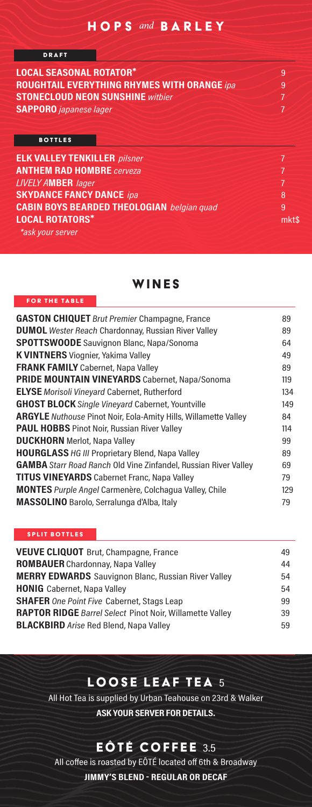### HOPS *and* BARLEY

| <b>DRAFT</b>                            |                                                    |   |
|-----------------------------------------|----------------------------------------------------|---|
| <b>LOCAL SEASONAL ROTATOR*</b>          |                                                    | 9 |
|                                         | <b>ROUGHTAIL EVERYTHING RHYMES WITH ORANGE ipa</b> | 9 |
| <b>STONECLOUD NEON SUNSHINE withier</b> |                                                    |   |
| <b>SAPPORO</b> <i>japanese lager</i>    |                                                    |   |
|                                         |                                                    |   |
| <b>BOTTLES</b>                          |                                                    |   |

| <b>ELK VALLEY TENKILLER</b> pilsner               |       |
|---------------------------------------------------|-------|
| <b>ANTHEM RAD HOMBRE</b> cerveza                  |       |
| <b>LIVELY AMBER</b> lager                         |       |
| <b>SKYDANCE FANCY DANCE ipa</b>                   | 8     |
| <b>CABIN BOYS BEARDED THEOLOGIAN</b> belgian quad | 9     |
| <b>LOCAL ROTATORS*</b>                            | mkt\$ |
| *ask your server                                  |       |

WINES

#### FOR THE TABLE

| <b>GASTON CHIQUET</b> Brut Premier Champagne, France                   | 89  |
|------------------------------------------------------------------------|-----|
| <b>DUMOL</b> Wester Reach Chardonnay, Russian River Valley             | 89  |
| <b>SPOTTSWOODE</b> Sauvignon Blanc, Napa/Sonoma                        | 64  |
| <b>K VINTNERS</b> Viognier, Yakima Valley                              | 49  |
| <b>FRANK FAMILY</b> Cabernet, Napa Valley                              | 89  |
| <b>PRIDE MOUNTAIN VINEYARDS</b> Cabernet, Napa/Sonoma                  | 119 |
| <b>ELYSE</b> Morisoli Vinevard Cabernet, Rutherford                    | 134 |
| <b>GHOST BLOCK</b> Single Vinevard Cabernet, Yountville                | 149 |
| <b>ARGYLE</b> Nuthouse Pinot Noir, Eola-Amity Hills, Willamette Valley | 84  |
| <b>PAUL HOBBS</b> Pinot Noir, Russian River Valley                     | 114 |
| <b>DUCKHORN</b> Merlot, Napa Valley                                    | 99  |
| <b>HOURGLASS</b> HG III Proprietary Blend, Napa Valley                 | 89  |
| <b>GAMBA</b> Starr Road Ranch Old Vine Zinfandel, Russian River Valley | 69  |
| <b>TITUS VINEYARDS</b> Cabernet Franc, Napa Valley                     | 79  |
| <b>MONTES</b> Purple Angel Carmenère, Colchagua Valley, Chile          | 129 |
| MASSOLINO Barolo, Serralunga d'Alba, Italy                             | 79  |
|                                                                        |     |

#### SPLIT BOTTLES

| <b>VEUVE CLIQUOT</b> Brut, Champagne, France                    | 49 |
|-----------------------------------------------------------------|----|
| <b>ROMBAUER</b> Chardonnay, Napa Valley                         | 44 |
| <b>MERRY EDWARDS</b> Sauvignon Blanc, Russian River Valley      | 54 |
| <b>HONIG</b> Cabernet, Napa Valley                              | 54 |
| <b>SHAFER</b> One Point Five Cabernet, Stags Leap               | 99 |
| <b>RAPTOR RIDGE</b> Barrel Select Pinot Noir, Willamette Valley | 39 |
| <b>BLACKBIRD</b> Arise Red Blend, Napa Valley                   | 59 |

# LOOSE LEAF TEA 5

All Hot Tea is supplied by Urban Teahouse on 23rd & Walker **ASK YOUR SERVER FOR DETAILS.**

# EÔTÉ COFFEE 3.5

All coffee is roasted by EÔTÉ located off 6th & Broadway **JIMMY'S BLEND - REGULAR OR DECAF**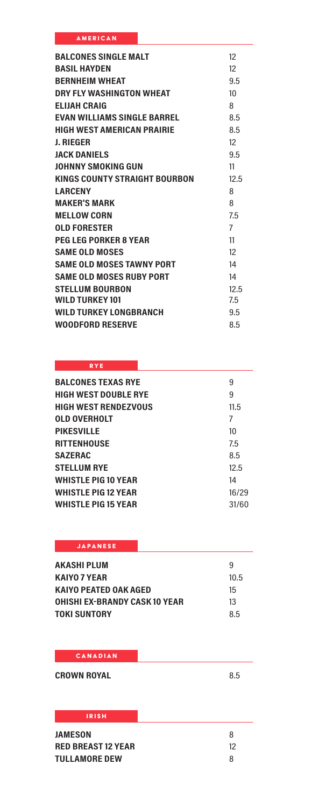| <b>AMERICAN</b> |  |
|-----------------|--|

| <b>BALCONES SINGLE MALT</b>        | $12^{12}$         |
|------------------------------------|-------------------|
| <b><i>RASII HAYDEN</i></b>         | 12                |
| <b>RERNHEIM WHEAT</b>              | 9.5               |
| DRY FI Y WASHINGTON WHEAT          | 10                |
| <b>ELIJAH CRAIG</b>                | 8                 |
| <b>EVAN WILLIAMS SINGLE BARREL</b> | 8.5               |
| <b>HIGH WEST AMERICAN PRAIRIF</b>  | 8.5               |
| J. RIEGER                          | $12 \overline{ }$ |
| <b>IACK DANIFIS</b>                | 9.5               |
| JOHNNY SMOKING GUN                 | 11                |
| KINGS COUNTY STRAIGHT BOURBON      | 12.5              |
| <b>I ARCENY</b>                    | 8                 |
| <b>MAKER'S MARK</b>                | 8                 |
| <b>MELLOW CORN</b>                 | 7.5               |
| <b>OLD FORESTER</b>                | $\overline{7}$    |
| <b>PEG LEG PORKER 8 YEAR</b>       | 11                |
| <b>SAME OI D MOSES</b>             | 12                |
| <b>SAME OLD MOSES TAWNY PORT</b>   | 14                |
| SAME OF D MOSES RURY PORT          | 14                |
| <b>STELLUM BOURBON</b>             | 12.5              |
| <b>WILD TURKEY 101</b>             | 7.5               |
| WILD TURKEY LONGBRANCH             | 9.5               |
| <b>WOODFORD RESERVE</b>            | 8.5               |

### **RYE**

| 9     |
|-------|
| 9     |
| 11.5  |
| 7     |
| 10    |
| 7.5   |
| 8.5   |
| 12.5  |
| 14    |
| 16/29 |
| 31/60 |
|       |

## JAPANESE

| AKASHI PLUM                   | q    |
|-------------------------------|------|
| KAIYO 7 YEAR                  | 10.5 |
| KAIYO PEATED OAK AGED         | 15   |
| OHISHI EX-BRANDY CASK 10 YEAR | 13   |
| TOKI SUNTORY                  | 8.5  |

### **CANADIAN**

**CROWN ROYAL** 8.5

## IRISH

| <b>JAMESON</b>            | 8  |
|---------------------------|----|
| <b>RED BREAST 12 YEAR</b> | 12 |
| <b>TULLAMORE DEW</b>      | 8  |